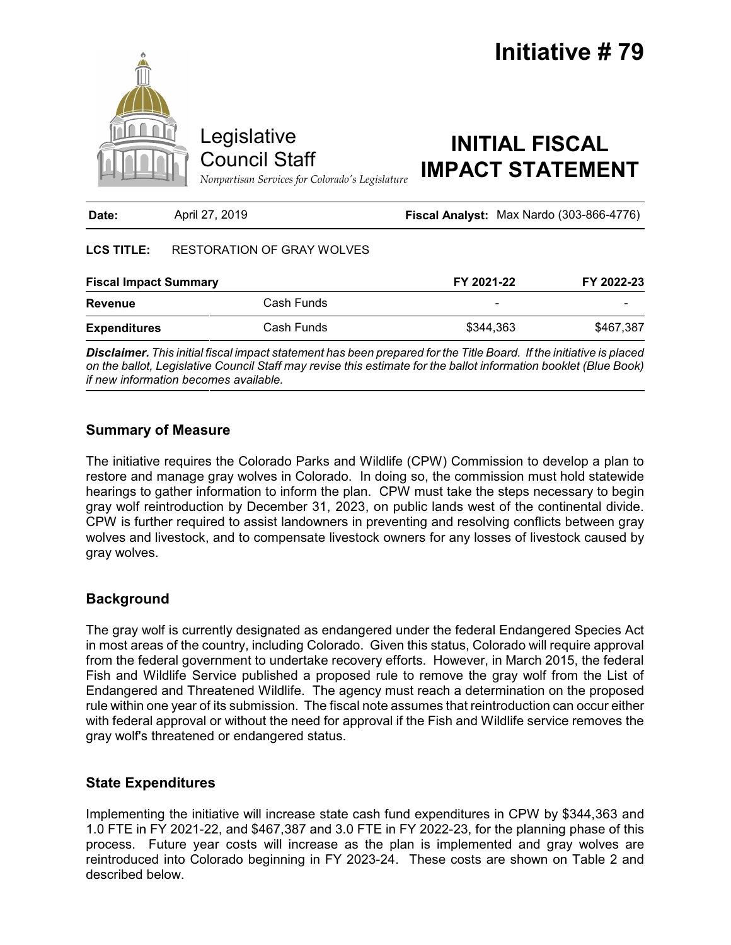

| Date:                        | April 27, 2019             | Fiscal Analyst: Max Nardo (303-866-4776) |            |
|------------------------------|----------------------------|------------------------------------------|------------|
| <b>LCS TITLE:</b>            | RESTORATION OF GRAY WOLVES |                                          |            |
| <b>Fiscal Impact Summary</b> |                            | FY 2021-22                               | FY 2022-23 |
| <b>Revenue</b>               | Cash Funds                 | -                                        |            |
| <b>Expenditures</b>          | Cash Funds                 | \$344,363                                | \$467,387  |
|                              |                            |                                          |            |

*Disclaimer. This initial fiscal impact statement has been prepared for the Title Board. If the initiative is placed on the ballot, Legislative Council Staff may revise this estimate for the ballot information booklet (Blue Book) if new information becomes available.*

## **Summary of Measure**

The initiative requires the Colorado Parks and Wildlife (CPW) Commission to develop a plan to restore and manage gray wolves in Colorado. In doing so, the commission must hold statewide hearings to gather information to inform the plan. CPW must take the steps necessary to begin gray wolf reintroduction by December 31, 2023, on public lands west of the continental divide. CPW is further required to assist landowners in preventing and resolving conflicts between gray wolves and livestock, and to compensate livestock owners for any losses of livestock caused by gray wolves.

# **Background**

The gray wolf is currently designated as endangered under the federal Endangered Species Act in most areas of the country, including Colorado. Given this status, Colorado will require approval from the federal government to undertake recovery efforts. However, in March 2015, the federal Fish and Wildlife Service published a proposed rule to remove the gray wolf from the List of Endangered and Threatened Wildlife. The agency must reach a determination on the proposed rule within one year of its submission. The fiscal note assumes that reintroduction can occur either with federal approval or without the need for approval if the Fish and Wildlife service removes the gray wolf's threatened or endangered status.

# **State Expenditures**

Implementing the initiative will increase state cash fund expenditures in CPW by \$344,363 and 1.0 FTE in FY 2021-22, and \$467,387 and 3.0 FTE in FY 2022-23, for the planning phase of this process. Future year costs will increase as the plan is implemented and gray wolves are reintroduced into Colorado beginning in FY 2023-24. These costs are shown on Table 2 and described below.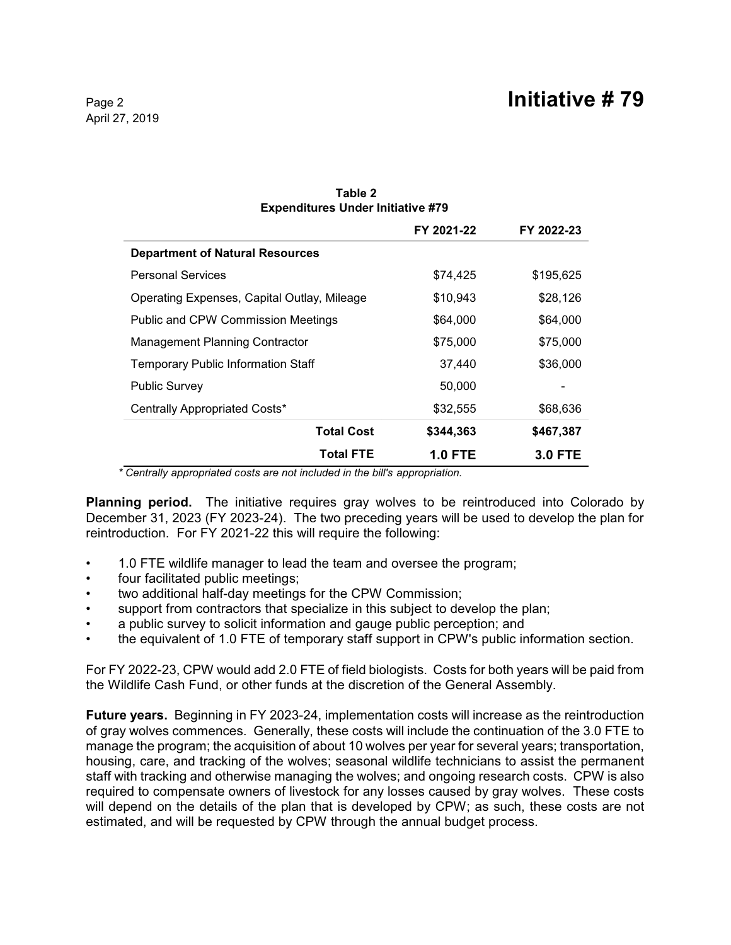| <b>Expenditures Under Initiative #79</b>    |                |                |
|---------------------------------------------|----------------|----------------|
|                                             | FY 2021-22     | FY 2022-23     |
| <b>Department of Natural Resources</b>      |                |                |
| <b>Personal Services</b>                    | \$74,425       | \$195,625      |
| Operating Expenses, Capital Outlay, Mileage | \$10,943       | \$28,126       |
| <b>Public and CPW Commission Meetings</b>   | \$64,000       | \$64,000       |
| <b>Management Planning Contractor</b>       | \$75,000       | \$75,000       |
| <b>Temporary Public Information Staff</b>   | 37,440         | \$36,000       |
| <b>Public Survey</b>                        | 50,000         |                |
| Centrally Appropriated Costs*               | \$32,555       | \$68,636       |
| <b>Total Cost</b>                           | \$344,363      | \$467,387      |
| <b>Total FTE</b>                            | <b>1.0 FTE</b> | <b>3.0 FTE</b> |

### **Table 2 Expenditures Under Initiative #79**

*\* Centrally appropriated costs are not included in the bill's appropriation.*

**Planning period.** The initiative requires gray wolves to be reintroduced into Colorado by December 31, 2023 (FY 2023-24). The two preceding years will be used to develop the plan for reintroduction. For FY 2021-22 this will require the following:

- 1.0 FTE wildlife manager to lead the team and oversee the program;
- four facilitated public meetings;
- two additional half-day meetings for the CPW Commission;
- support from contractors that specialize in this subject to develop the plan;
- a public survey to solicit information and gauge public perception; and
- the equivalent of 1.0 FTE of temporary staff support in CPW's public information section.

For FY 2022-23, CPW would add 2.0 FTE of field biologists. Costs for both years will be paid from the Wildlife Cash Fund, or other funds at the discretion of the General Assembly.

**Future years.** Beginning in FY 2023-24, implementation costs will increase as the reintroduction of gray wolves commences. Generally, these costs will include the continuation of the 3.0 FTE to manage the program; the acquisition of about 10 wolves per year for several years; transportation, housing, care, and tracking of the wolves; seasonal wildlife technicians to assist the permanent staff with tracking and otherwise managing the wolves; and ongoing research costs. CPW is also required to compensate owners of livestock for any losses caused by gray wolves. These costs will depend on the details of the plan that is developed by CPW; as such, these costs are not estimated, and will be requested by CPW through the annual budget process.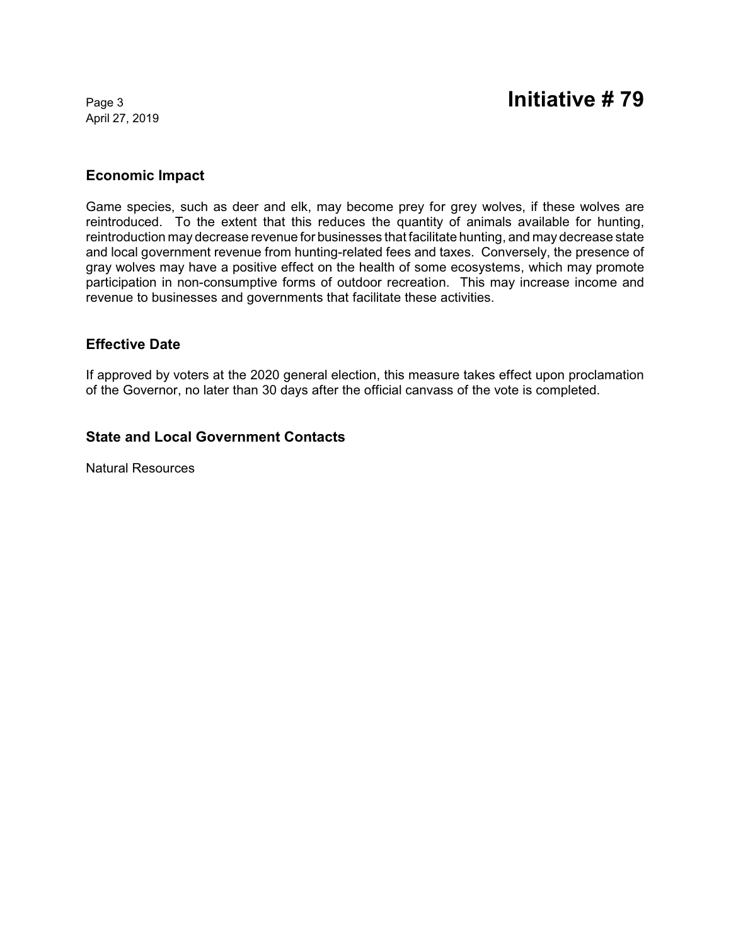April 27, 2019

## **Economic Impact**

Game species, such as deer and elk, may become prey for grey wolves, if these wolves are reintroduced. To the extent that this reduces the quantity of animals available for hunting, reintroduction may decrease revenue for businesses that facilitate hunting, and may decrease state and local government revenue from hunting-related fees and taxes. Conversely, the presence of gray wolves may have a positive effect on the health of some ecosystems, which may promote participation in non-consumptive forms of outdoor recreation. This may increase income and revenue to businesses and governments that facilitate these activities.

## **Effective Date**

If approved by voters at the 2020 general election, this measure takes effect upon proclamation of the Governor, no later than 30 days after the official canvass of the vote is completed.

## **State and Local Government Contacts**

Natural Resources